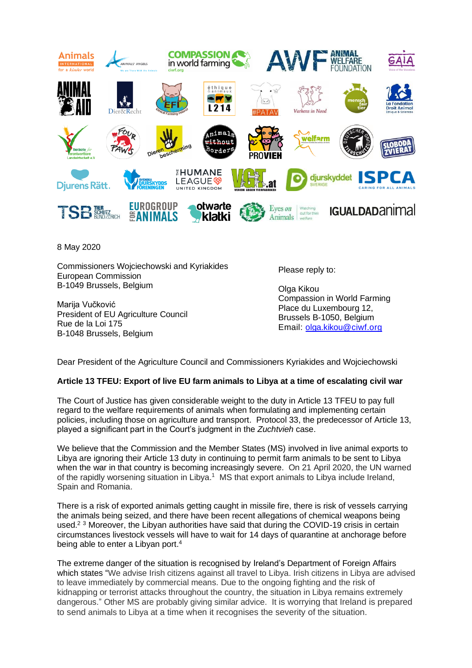

8 May 2020

Commissioners Wojciechowski and Kyriakides European Commission B-1049 Brussels, Belgium

Marija Vučković President of EU Agriculture Council Rue de la Loi 175 B-1048 Brussels, Belgium

Please reply to:

Olga Kikou Compassion in World Farming Place du Luxembourg 12, Brussels B-1050, Belgium Email: [olga.kikou@ciwf.org](mailto:olga.kikou@ciwf.org)

Dear President of the Agriculture Council and Commissioners Kyriakides and Wojciechowski

## **Article 13 TFEU: Export of live EU farm animals to Libya at a time of escalating civil war**

The Court of Justice has given considerable weight to the duty in Article 13 TFEU to pay full regard to the welfare requirements of animals when formulating and implementing certain policies, including those on agriculture and transport. Protocol 33, the predecessor of Article 13, played a significant part in the Court's judgment in the *Zuchtvieh* case.

We believe that the Commission and the Member States (MS) involved in live animal exports to Libya are ignoring their Article 13 duty in continuing to permit farm animals to be sent to Libya when the war in that country is becoming increasingly severe. On 21 April 2020, the UN warned of the rapidly worsening situation in Libya.<sup>1</sup> MS that export animals to Libya include Ireland, Spain and Romania.

There is a risk of exported animals getting caught in missile fire, there is risk of vessels carrying the animals being seized, and there have been recent allegations of chemical weapons being used.<sup>2 3</sup> Moreover, the Libyan authorities have said that during the COVID-19 crisis in certain circumstances livestock vessels will have to wait for 14 days of quarantine at anchorage before being able to enter a Libyan port.<sup>4</sup>

The extreme danger of the situation is recognised by Ireland's Department of Foreign Affairs which states "We advise Irish citizens against all travel to Libya. Irish citizens in Libya are advised to leave immediately by commercial means. Due to the ongoing fighting and the risk of kidnapping or terrorist attacks throughout the country, the situation in Libya remains extremely dangerous." Other MS are probably giving similar advice. It is worrying that Ireland is prepared to send animals to Libya at a time when it recognises the severity of the situation.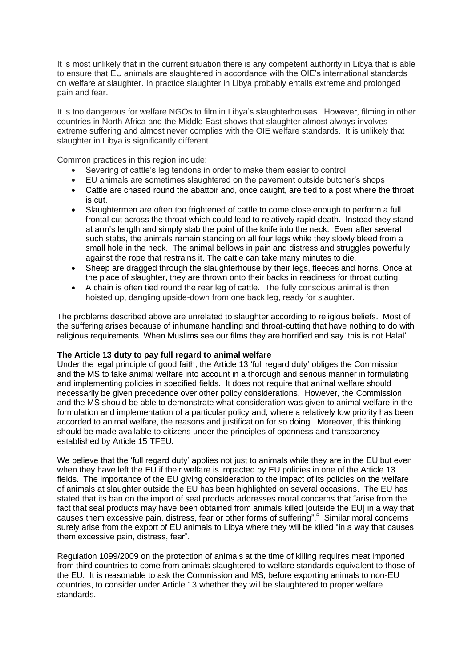It is most unlikely that in the current situation there is any competent authority in Libya that is able to ensure that EU animals are slaughtered in accordance with the OIE's international standards on welfare at slaughter. In practice slaughter in Libya probably entails extreme and prolonged pain and fear.

It is too dangerous for welfare NGOs to film in Libya's slaughterhouses. However, filming in other countries in North Africa and the Middle East shows that slaughter almost always involves extreme suffering and almost never complies with the OIE welfare standards. It is unlikely that slaughter in Libya is significantly different.

Common practices in this region include:

- Severing of cattle's leg tendons in order to make them easier to control
- EU animals are sometimes slaughtered on the pavement outside butcher's shops
- Cattle are chased round the abattoir and, once caught, are tied to a post where the throat is cut.
- Slaughtermen are often too frightened of cattle to come close enough to perform a full frontal cut across the throat which could lead to relatively rapid death. Instead they stand at arm's length and simply stab the point of the knife into the neck. Even after several such stabs, the animals remain standing on all four legs while they slowly bleed from a small hole in the neck. The animal bellows in pain and distress and struggles powerfully against the rope that restrains it. The cattle can take many minutes to die.
- Sheep are dragged through the slaughterhouse by their legs, fleeces and horns. Once at the place of slaughter, they are thrown onto their backs in readiness for throat cutting.
- A chain is often tied round the rear leg of cattle. The fully conscious animal is then hoisted up, dangling upside-down from one back leg, ready for slaughter.

The problems described above are unrelated to slaughter according to religious beliefs. Most of the suffering arises because of inhumane handling and throat-cutting that have nothing to do with religious requirements. When Muslims see our films they are horrified and say 'this is not Halal'.

## **The Article 13 duty to pay full regard to animal welfare**

Under the legal principle of good faith, the Article 13 'full regard duty' obliges the Commission and the MS to take animal welfare into account in a thorough and serious manner in formulating and implementing policies in specified fields. It does not require that animal welfare should necessarily be given precedence over other policy considerations. However, the Commission and the MS should be able to demonstrate what consideration was given to animal welfare in the formulation and implementation of a particular policy and, where a relatively low priority has been accorded to animal welfare, the reasons and justification for so doing. Moreover, this thinking should be made available to citizens under the principles of openness and transparency established by Article 15 TFEU.

We believe that the 'full regard duty' applies not just to animals while they are in the EU but even when they have left the EU if their welfare is impacted by EU policies in one of the Article 13 fields. The importance of the EU giving consideration to the impact of its policies on the welfare of animals at slaughter outside the EU has been highlighted on several occasions. The EU has stated that its ban on the import of seal products addresses moral concerns that "arise from the fact that seal products may have been obtained from animals killed [outside the EU] in a way that causes them excessive pain, distress, fear or other forms of suffering".<sup>5</sup> Similar moral concerns surely arise from the export of EU animals to Libya where they will be killed "in a way that causes them excessive pain, distress, fear".

Regulation 1099/2009 on the protection of animals at the time of killing requires meat imported from third countries to come from animals slaughtered to welfare standards equivalent to those of the EU. It is reasonable to ask the Commission and MS, before exporting animals to non-EU countries, to consider under Article 13 whether they will be slaughtered to proper welfare standards.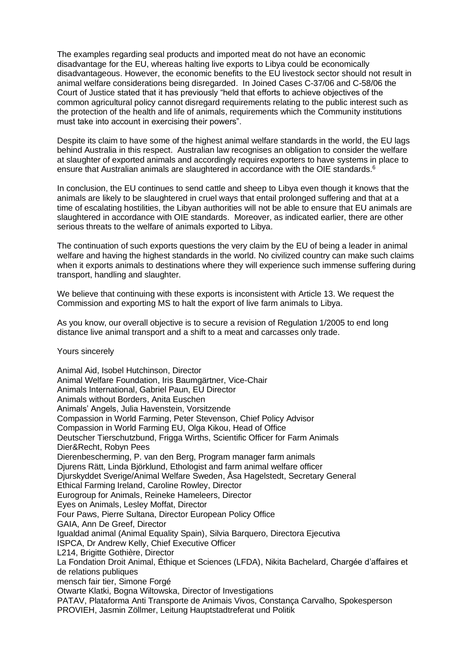The examples regarding seal products and imported meat do not have an economic disadvantage for the EU, whereas halting live exports to Libya could be economically disadvantageous. However, the economic benefits to the EU livestock sector should not result in animal welfare considerations being disregarded. In Joined Cases C-37/06 and C-58/06 the Court of Justice stated that it has previously "held that efforts to achieve objectives of the common agricultural policy cannot disregard requirements relating to the public interest such as the protection of the health and life of animals, requirements which the Community institutions must take into account in exercising their powers".

Despite its claim to have some of the highest animal welfare standards in the world, the EU lags behind Australia in this respect. Australian law recognises an obligation to consider the welfare at slaughter of exported animals and accordingly requires exporters to have systems in place to ensure that Australian animals are slaughtered in accordance with the OIE standards.<sup>6</sup>

In conclusion, the EU continues to send cattle and sheep to Libya even though it knows that the animals are likely to be slaughtered in cruel ways that entail prolonged suffering and that at a time of escalating hostilities, the Libyan authorities will not be able to ensure that EU animals are slaughtered in accordance with OIE standards. Moreover, as indicated earlier, there are other serious threats to the welfare of animals exported to Libya.

The continuation of such exports questions the very claim by the EU of being a leader in animal welfare and having the highest standards in the world. No civilized country can make such claims when it exports animals to destinations where they will experience such immense suffering during transport, handling and slaughter.

We believe that continuing with these exports is inconsistent with Article 13. We request the Commission and exporting MS to halt the export of live farm animals to Libya.

As you know, our overall objective is to secure a revision of Regulation 1/2005 to end long distance live animal transport and a shift to a meat and carcasses only trade.

Yours sincerely

Animal Aid, Isobel Hutchinson, Director Animal Welfare Foundation, Iris Baumgärtner, Vice-Chair Animals International, Gabriel Paun, EU Director Animals without Borders, Anita Euschen Animals' Angels, Julia Havenstein, Vorsitzende Compassion in World Farming, Peter Stevenson, Chief Policy Advisor Compassion in World Farming EU, Olga Kikou, Head of Office Deutscher Tierschutzbund, Frigga Wirths, Scientific Officer for Farm Animals Dier&Recht, Robyn Pees Dierenbescherming, P. van den Berg, Program manager farm animals Djurens Rätt, Linda Björklund, Ethologist and farm animal welfare officer Djurskyddet Sverige/Animal Welfare Sweden, Åsa Hagelstedt, Secretary General Ethical Farming Ireland, Caroline Rowley, Director Eurogroup for Animals, Reineke Hameleers, Director Eyes on Animals, Lesley Moffat, Director Four Paws, Pierre Sultana, Director European Policy Office GAIA, Ann De Greef, Director Igualdad animal (Animal Equality Spain), Silvia Barquero, Directora Ejecutiva ISPCA, Dr Andrew Kelly, Chief Executive Officer L214, Brigitte Gothière, Director La Fondation Droit Animal, Éthique et Sciences (LFDA), Nikita Bachelard, Chargée d'affaires et de relations publiques mensch fair tier, Simone Forgé Otwarte Klatki, Bogna Wiltowska, Director of Investigations PATAV, Plataforma Anti Transporte de Animais Vivos, Constança Carvalho, Spokesperson PROVIEH, Jasmin Zöllmer, Leitung Hauptstadtreferat und Politik